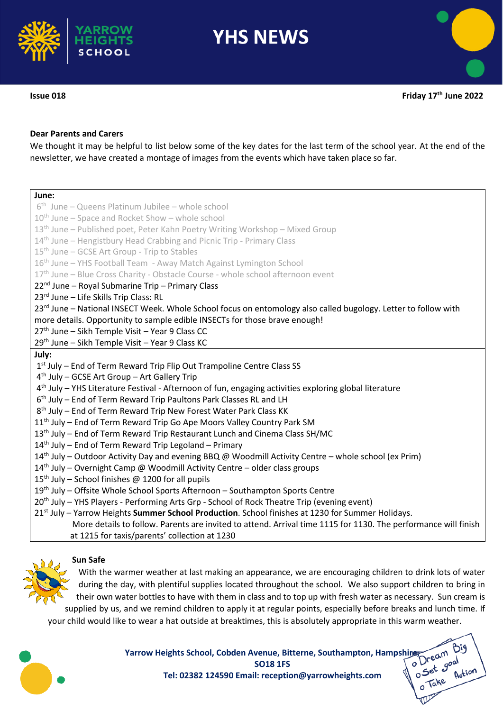

# **Dear Parents and Carers**

We thought it may be helpful to list below some of the key dates for the last term of the school year. At the end of the newsletter, we have created a montage of images from the events which have taken place so far.

| June:                                                                                                              |
|--------------------------------------------------------------------------------------------------------------------|
| $6th$ June – Queens Platinum Jubilee – whole school                                                                |
| 10 <sup>th</sup> June - Space and Rocket Show - whole school                                                       |
| 13 <sup>th</sup> June - Published poet, Peter Kahn Poetry Writing Workshop - Mixed Group                           |
| 14 <sup>th</sup> June - Hengistbury Head Crabbing and Picnic Trip - Primary Class                                  |
| 15 <sup>th</sup> June - GCSE Art Group - Trip to Stables                                                           |
| 16 <sup>th</sup> June - YHS Football Team - Away Match Against Lymington School                                    |
| 17th June - Blue Cross Charity - Obstacle Course - whole school afternoon event                                    |
| 22 <sup>nd</sup> June – Royal Submarine Trip – Primary Class                                                       |
| 23rd June - Life Skills Trip Class: RL                                                                             |
| 23rd June - National INSECT Week. Whole School focus on entomology also called bugology. Letter to follow with     |
| more details. Opportunity to sample edible INSECTs for those brave enough!                                         |
| 27th June - Sikh Temple Visit - Year 9 Class CC                                                                    |
| 29th June - Sikh Temple Visit - Year 9 Class KC                                                                    |
| July:                                                                                                              |
| 1st July – End of Term Reward Trip Flip Out Trampoline Centre Class SS                                             |
| 4 <sup>th</sup> July - GCSE Art Group - Art Gallery Trip                                                           |
| 4 <sup>th</sup> July - YHS Literature Festival - Afternoon of fun, engaging activities exploring global literature |
| 6 <sup>th</sup> July - End of Term Reward Trip Paultons Park Classes RL and LH                                     |
| 8 <sup>th</sup> July - End of Term Reward Trip New Forest Water Park Class KK                                      |
| 11 <sup>th</sup> July - End of Term Reward Trip Go Ape Moors Valley Country Park SM                                |
| 13 <sup>th</sup> July - End of Term Reward Trip Restaurant Lunch and Cinema Class SH/MC                            |
| $14th$ July – End of Term Reward Trip Legoland – Primary                                                           |
| 14 <sup>th</sup> July – Outdoor Activity Day and evening BBQ @ Woodmill Activity Centre – whole school (ex Prim)   |
| $14th$ July – Overnight Camp @ Woodmill Activity Centre – older class groups                                       |
| 15 <sup>th</sup> July – School finishes @ 1200 for all pupils                                                      |
| 19 <sup>th</sup> July - Offsite Whole School Sports Afternoon - Southampton Sports Centre                          |
| 20 <sup>th</sup> July - YHS Players - Performing Arts Grp - School of Rock Theatre Trip (evening event)            |
| 21st July - Yarrow Heights Summer School Production. School finishes at 1230 for Summer Holidays.                  |
| More details to follow. Parents are invited to attend. Arrival time 1115 for 1130. The performance will finish     |
| at 1215 for taxis/parents' collection at 1230                                                                      |
|                                                                                                                    |

# **Sun Safe**



With the warmer weather at last making an appearance, we are encouraging children to drink lots of water during the day, with plentiful supplies located throughout the school. We also support children to bring in their own water bottles to have with them in class and to top up with fresh water as necessary. Sun cream is supplied by us, and we remind children to apply it at regular points, especially before breaks and lunch time. If your child would like to wear a hat outside at breaktimes, this is absolutely appropriate in this warm weather.



**Yarrow Heights School, Cobden Avenue, Bitterne, Southampton, Hampshire, Colden** SO18 1FS<br>SO18 1FS<br>Tel: 02382 124590 Email: reception@yarrowheights.com **All and Section SO18 1FS Tel: 02382 124590 Email: reception@yarrowheights.com**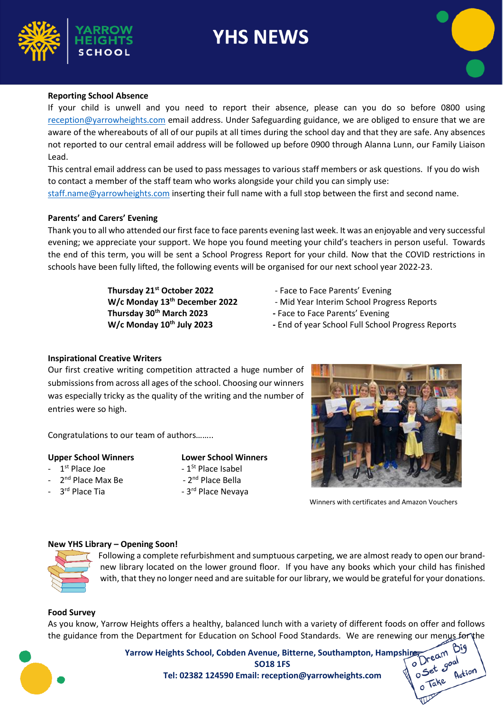

# **Reporting School Absence**

If your child is unwell and you need to report their absence, please can you do so before 0800 using [reception@yarrowheights.com](mailto:reception@yarrowheights.com) email address. Under Safeguarding guidance, we are obliged to ensure that we are aware of the whereabouts of all of our pupils at all times during the school day and that they are safe. Any absences not reported to our central email address will be followed up before 0900 through Alanna Lunn, our Family Liaison Lead.

This central email address can be used to pass messages to various staff members or ask questions. If you do wish to contact a member of the staff team who works alongside your child you can simply use: [staff.name@yarrowheights.com](mailto:staff.name@yarrowheights.com) inserting their full name with a full stop between the first and second name.

### **Parents' and Carers' Evening**

Thank you to all who attended our first face to face parents evening last week. It was an enjoyable and very successful evening; we appreciate your support. We hope you found meeting your child's teachers in person useful. Towards the end of this term, you will be sent a School Progress Report for your child. Now that the COVID restrictions in schools have been fully lifted, the following events will be organised for our next school year 2022-23.

> **Thursday 21st October 2022** - Face to Face Parents' Evening **Thursday 30th March 2023 -** Face to Face Parents' Evening

- 
- **W/c Monday 13th December 2022**  Mid Year Interim School Progress Reports
	-
- **W/c Monday 10th July 2023 -** End of year School Full School Progress Reports

# **Inspirational Creative Writers**

Our first creative writing competition attracted a huge number of submissions from across all ages of the school. Choosing our winners was especially tricky as the quality of the writing and the number of entries were so high.

Congratulations to our team of authors……..

#### **Upper School Winners Lower School Winners**

- $-1$ <sup>st</sup> Place Joe  $-1$
- 2<sup>nd</sup> Place Max Be  $-2$
- $-1<sup>St</sup>$  Place Isabel - 2<sup>nd</sup> Place Bella
- 3<sup>rd</sup> Place Tia <sub>- 3</sub> - 3rd Place Nevaya



Winners with certificates and Amazon Vouchers

#### **New YHS Library – Opening Soon!**



Following a complete refurbishment and sumptuous carpeting, we are almost ready to open our brandnew library located on the lower ground floor. If you have any books which your child has finished with, that they no longer need and are suitable for our library, we would be grateful for your donations.

#### **Food Survey**

As you know, Yarrow Heights offers a healthy, balanced lunch with a variety of different foods on offer and follows the guidance from the Department for Education on School Food Standards. We are renewing our menus for the



**Yarrow Heights School, Cobden Avenue, Bitterne, Southampton, Hampshire, ambuscal Ream**<br>Tel: 02382 124590 Email: reception@varrowheights some of the set goal **SO18 1FS** 

**Tel: 02382 124590 Email: reception@yarrowheights.com**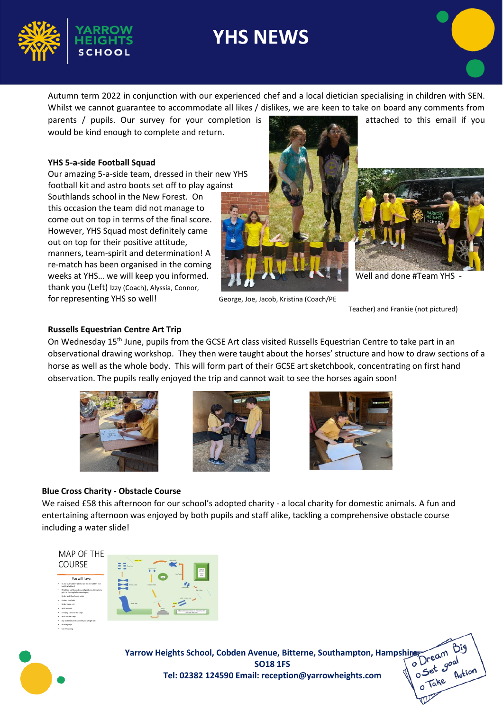

Autumn term 2022 in conjunction with our experienced chef and a local dietician specialising in children with SEN. Whilst we cannot guarantee to accommodate all likes / dislikes, we are keen to take on board any comments from

parents / pupils. Our survey for your completion is attached to this email if you would be kind enough to complete and return.

# **YHS 5-a-side Football Squad**

Our amazing 5-a-side team, dressed in their new YHS football kit and astro boots set off to play against

Southlands school in the New Forest. On this occasion the team did not manage to come out on top in terms of the final score. However, YHS Squad most definitely came out on top for their positive attitude, manners, team-spirit and determination! A re-match has been organised in the coming weeks at YHS... we will keep you informed. We will also well and done #Team YHS thank you (Left) Izzy (Coach), Alyssia, Connor, for representing YHS so well! George, Joe, Jacob, Kristina (Coach/PE





Teacher) and Frankie (not pictured)

### **Russells Equestrian Centre Art Trip**

On Wednesday 15th June, pupils from the GCSE Art class visited Russells Equestrian Centre to take part in an observational drawing workshop. They then were taught about the horses' structure and how to draw sections of a horse as well as the whole body. This will form part of their GCSE art sketchbook, concentrating on first hand observation. The pupils really enjoyed the trip and cannot wait to see the horses again soon!







#### **Blue Cross Charity - Obstacle Course**

We raised £58 this afternoon for our school's adopted charity - a local charity for domestic animals. A fun and entertaining afternoon was enjoyed by both pupils and staff alike, tackling a comprehensive obstacle course including a water slide!





**Yarrow Heights School, Cobden Avenue, Bitterne, Southampton, Hampshire, am Bigod Set, and Solid IFS**<br>Tel: 02382 124590 Email: reception@yarrowheights.com Retire, Retire **SO18 1FS Tel: 02382 124590 Email: reception@yarrowheights.com**